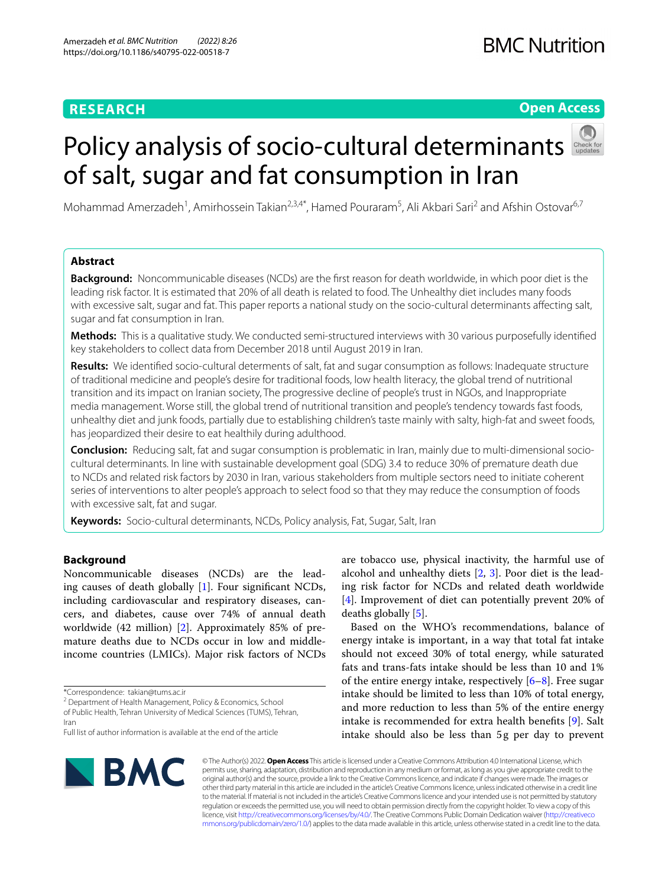# **RESEARCH**

# **Open Access**

# Policyanalysis of socio-cultural determinants of salt, sugar and fat consumption in Iran

Mohammad Amerzadeh<sup>1</sup>, Amirhossein Takian<sup>2,3,4\*</sup>, Hamed Pouraram<sup>5</sup>, Ali Akbari Sari<sup>2</sup> and Afshin Ostovar<sup>6,7</sup>

# **Abstract**

**Background:** Noncommunicable diseases (NCDs) are the frst reason for death worldwide, in which poor diet is the leading risk factor. It is estimated that 20% of all death is related to food. The Unhealthy diet includes many foods with excessive salt, sugar and fat. This paper reports a national study on the socio-cultural determinants afecting salt, sugar and fat consumption in Iran.

**Methods:** This is a qualitative study. We conducted semi-structured interviews with 30 various purposefully identifed key stakeholders to collect data from December 2018 until August 2019 in Iran.

**Results:** We identifed socio-cultural determents of salt, fat and sugar consumption as follows: Inadequate structure of traditional medicine and people's desire for traditional foods, low health literacy, the global trend of nutritional transition and its impact on Iranian society, The progressive decline of people's trust in NGOs, and Inappropriate media management. Worse still, the global trend of nutritional transition and people's tendency towards fast foods, unhealthy diet and junk foods, partially due to establishing children's taste mainly with salty, high-fat and sweet foods, has jeopardized their desire to eat healthily during adulthood.

**Conclusion:** Reducing salt, fat and sugar consumption is problematic in Iran, mainly due to multi-dimensional sociocultural determinants. In line with sustainable development goal (SDG) 3.4 to reduce 30% of premature death due to NCDs and related risk factors by 2030 in Iran, various stakeholders from multiple sectors need to initiate coherent series of interventions to alter people's approach to select food so that they may reduce the consumption of foods with excessive salt, fat and sugar.

**Keywords:** Socio-cultural determinants, NCDs, Policy analysis, Fat, Sugar, Salt, Iran

# **Background**

Noncommunicable diseases (NCDs) are the leading causes of death globally [[1\]](#page-5-0). Four signifcant NCDs, including cardiovascular and respiratory diseases, cancers, and diabetes, cause over 74% of annual death worldwide (42 million) [[2\]](#page-5-1). Approximately 85% of premature deaths due to NCDs occur in low and middleincome countries (LMICs). Major risk factors of NCDs

<sup>2</sup> Department of Health Management, Policy & Economics, School

of Public Health, Tehran University of Medical Sciences (TUMS), Tehran, Iran

are tobacco use, physical inactivity, the harmful use of alcohol and unhealthy diets  $[2, 3]$  $[2, 3]$  $[2, 3]$ . Poor diet is the leading risk factor for NCDs and related death worldwide [[4\]](#page-6-1). Improvement of diet can potentially prevent 20% of deaths globally [[5\]](#page-6-2).

Based on the WHO's recommendations, balance of energy intake is important, in a way that total fat intake should not exceed 30% of total energy, while saturated fats and trans-fats intake should be less than 10 and 1% of the entire energy intake, respectively  $[6-8]$  $[6-8]$ . Free sugar intake should be limited to less than 10% of total energy, and more reduction to less than 5% of the entire energy intake is recommended for extra health benefts [[9\]](#page-6-5). Salt intake should also be less than 5g per day to prevent



© The Author(s) 2022. **Open Access** This article is licensed under a Creative Commons Attribution 4.0 International License, which permits use, sharing, adaptation, distribution and reproduction in any medium or format, as long as you give appropriate credit to the original author(s) and the source, provide a link to the Creative Commons licence, and indicate if changes were made. The images or other third party material in this article are included in the article's Creative Commons licence, unless indicated otherwise in a credit line to the material. If material is not included in the article's Creative Commons licence and your intended use is not permitted by statutory regulation or exceeds the permitted use, you will need to obtain permission directly from the copyright holder. To view a copy of this licence, visit [http://creativecommons.org/licenses/by/4.0/.](http://creativecommons.org/licenses/by/4.0/) The Creative Commons Public Domain Dedication waiver ([http://creativeco](http://creativecommons.org/publicdomain/zero/1.0/) [mmons.org/publicdomain/zero/1.0/](http://creativecommons.org/publicdomain/zero/1.0/)) applies to the data made available in this article, unless otherwise stated in a credit line to the data.

<sup>\*</sup>Correspondence: takian@tums.ac.ir

Full list of author information is available at the end of the article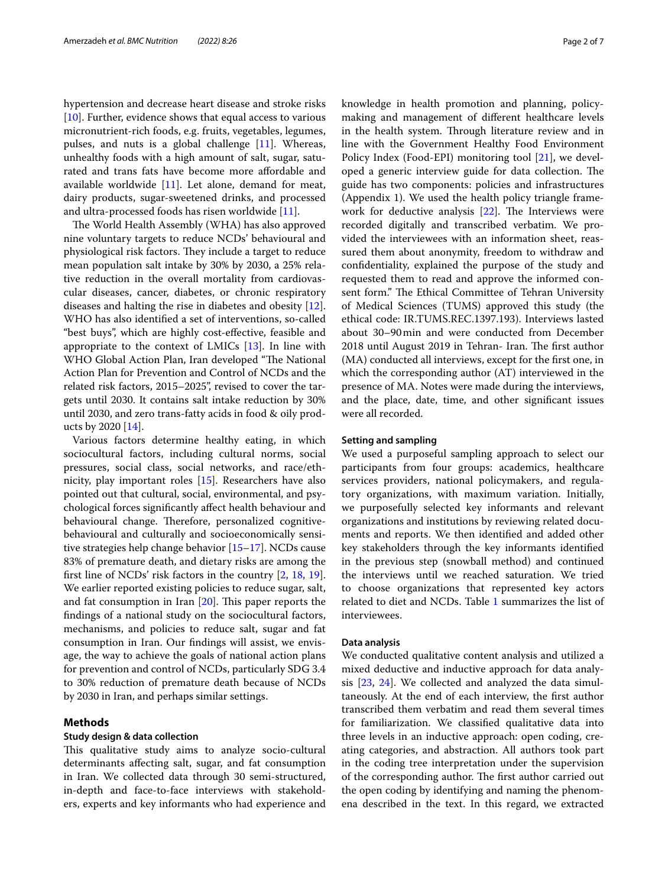hypertension and decrease heart disease and stroke risks [[10\]](#page-6-6). Further, evidence shows that equal access to various micronutrient-rich foods, e.g. fruits, vegetables, legumes, pulses, and nuts is a global challenge [\[11](#page-6-7)]. Whereas, unhealthy foods with a high amount of salt, sugar, saturated and trans fats have become more afordable and available worldwide [\[11](#page-6-7)]. Let alone, demand for meat, dairy products, sugar-sweetened drinks, and processed and ultra-processed foods has risen worldwide [\[11](#page-6-7)].

The World Health Assembly (WHA) has also approved nine voluntary targets to reduce NCDs' behavioural and physiological risk factors. They include a target to reduce mean population salt intake by 30% by 2030, a 25% relative reduction in the overall mortality from cardiovascular diseases, cancer, diabetes, or chronic respiratory diseases and halting the rise in diabetes and obesity [\[12](#page-6-8)]. WHO has also identifed a set of interventions, so-called "best buys", which are highly cost-efective, feasible and appropriate to the context of LMICs [[13\]](#page-6-9). In line with WHO Global Action Plan, Iran developed "The National Action Plan for Prevention and Control of NCDs and the related risk factors, 2015–2025", revised to cover the targets until 2030. It contains salt intake reduction by 30% until 2030, and zero trans-fatty acids in food & oily products by 2020 [\[14\]](#page-6-10).

Various factors determine healthy eating, in which sociocultural factors, including cultural norms, social pressures, social class, social networks, and race/ethnicity, play important roles [\[15\]](#page-6-11). Researchers have also pointed out that cultural, social, environmental, and psychological forces signifcantly afect health behaviour and behavioural change. Therefore, personalized cognitivebehavioural and culturally and socioeconomically sensitive strategies help change behavior [[15–](#page-6-11)[17](#page-6-12)]. NCDs cause 83% of premature death, and dietary risks are among the frst line of NCDs' risk factors in the country [\[2,](#page-5-1) [18](#page-6-13), [19](#page-6-14)]. We earlier reported existing policies to reduce sugar, salt, and fat consumption in Iran  $[20]$  $[20]$ . This paper reports the fndings of a national study on the sociocultural factors, mechanisms, and policies to reduce salt, sugar and fat consumption in Iran. Our fndings will assist, we envisage, the way to achieve the goals of national action plans for prevention and control of NCDs, particularly SDG 3.4 to 30% reduction of premature death because of NCDs by 2030 in Iran, and perhaps similar settings.

# **Methods**

#### **Study design & data collection**

This qualitative study aims to analyze socio-cultural determinants afecting salt, sugar, and fat consumption in Iran. We collected data through 30 semi-structured, in-depth and face-to-face interviews with stakeholders, experts and key informants who had experience and

knowledge in health promotion and planning, policymaking and management of diferent healthcare levels in the health system. Through literature review and in line with the Government Healthy Food Environment Policy Index (Food-EPI) monitoring tool [\[21](#page-6-16)], we developed a generic interview guide for data collection. The guide has two components: policies and infrastructures (Appendix 1). We used the health policy triangle framework for deductive analysis  $[22]$ . The Interviews were recorded digitally and transcribed verbatim. We provided the interviewees with an information sheet, reassured them about anonymity, freedom to withdraw and confdentiality, explained the purpose of the study and requested them to read and approve the informed consent form." The Ethical Committee of Tehran University of Medical Sciences (TUMS) approved this study (the ethical code: IR.TUMS.REC.1397.193). Interviews lasted about 30–90min and were conducted from December 2018 until August 2019 in Tehran- Iran. The first author (MA) conducted all interviews, except for the frst one, in which the corresponding author (AT) interviewed in the presence of MA. Notes were made during the interviews, and the place, date, time, and other signifcant issues were all recorded.

# **Setting and sampling**

We used a purposeful sampling approach to select our participants from four groups: academics, healthcare services providers, national policymakers, and regulatory organizations, with maximum variation. Initially, we purposefully selected key informants and relevant organizations and institutions by reviewing related documents and reports. We then identifed and added other key stakeholders through the key informants identifed in the previous step (snowball method) and continued the interviews until we reached saturation. We tried to choose organizations that represented key actors related to diet and NCDs. Table [1](#page-2-0) summarizes the list of interviewees.

# **Data analysis**

We conducted qualitative content analysis and utilized a mixed deductive and inductive approach for data analysis [\[23,](#page-6-18) [24\]](#page-6-19). We collected and analyzed the data simultaneously. At the end of each interview, the frst author transcribed them verbatim and read them several times for familiarization. We classifed qualitative data into three levels in an inductive approach: open coding, creating categories, and abstraction. All authors took part in the coding tree interpretation under the supervision of the corresponding author. The first author carried out the open coding by identifying and naming the phenomena described in the text. In this regard, we extracted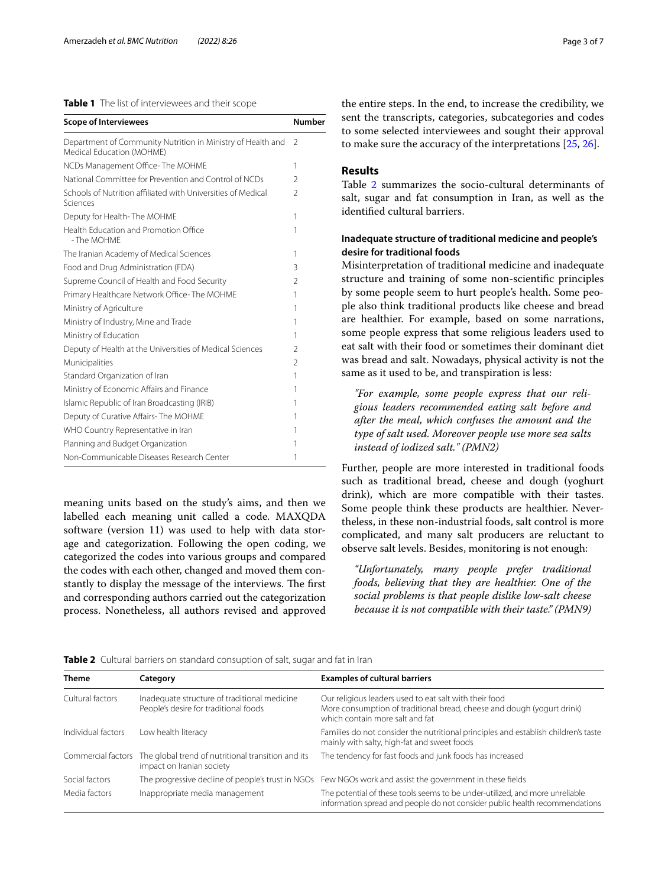# <span id="page-2-0"></span>**Table 1** The list of interviewees and their scope

| <b>Scope of Interviewees</b>                                                             | <b>Number</b>  |  |
|------------------------------------------------------------------------------------------|----------------|--|
| Department of Community Nutrition in Ministry of Health and<br>Medical Education (MOHME) |                |  |
| NCDs Management Office-The MOHME                                                         |                |  |
| National Committee for Prevention and Control of NCDs                                    | $\mathfrak{D}$ |  |
| Schools of Nutrition affiliated with Universities of Medical<br>Sciences                 | $\mathfrak{D}$ |  |
| Deputy for Health-The MOHME                                                              | 1              |  |
| Health Education and Promotion Office<br>- The MOHMF                                     | 1              |  |
| The Iranian Academy of Medical Sciences                                                  | 1              |  |
| Food and Drug Administration (FDA)                                                       | 3              |  |
| Supreme Council of Health and Food Security                                              | $\mathfrak{D}$ |  |
| Primary Healthcare Network Office-The MOHME                                              |                |  |
| Ministry of Agriculture                                                                  |                |  |
| Ministry of Industry, Mine and Trade                                                     |                |  |
| Ministry of Education                                                                    |                |  |
| Deputy of Health at the Universities of Medical Sciences                                 |                |  |
| Municipalities                                                                           |                |  |
| Standard Organization of Iran                                                            | 1              |  |
| Ministry of Economic Affairs and Finance                                                 | 1              |  |
| Islamic Republic of Iran Broadcasting (IRIB)                                             | 1              |  |
| Deputy of Curative Affairs-The MOHME                                                     |                |  |
| WHO Country Representative in Iran                                                       | 1              |  |
| Planning and Budget Organization                                                         |                |  |
| Non-Communicable Diseases Research Center                                                |                |  |

meaning units based on the study's aims, and then we labelled each meaning unit called a code. MAXQDA software (version 11) was used to help with data storage and categorization. Following the open coding, we categorized the codes into various groups and compared the codes with each other, changed and moved them constantly to display the message of the interviews. The first and corresponding authors carried out the categorization process. Nonetheless, all authors revised and approved the entire steps. In the end, to increase the credibility, we sent the transcripts, categories, subcategories and codes to some selected interviewees and sought their approval to make sure the accuracy of the interpretations [\[25,](#page-6-20) [26](#page-6-21)].

# **Results**

Table [2](#page-2-1) summarizes the socio-cultural determinants of salt, sugar and fat consumption in Iran, as well as the identifed cultural barriers.

# **Inadequate structure of traditional medicine and people's desire for traditional foods**

Misinterpretation of traditional medicine and inadequate structure and training of some non-scientifc principles by some people seem to hurt people's health. Some people also think traditional products like cheese and bread are healthier. For example, based on some narrations, some people express that some religious leaders used to eat salt with their food or sometimes their dominant diet was bread and salt. Nowadays, physical activity is not the same as it used to be, and transpiration is less:

*"For example, some people express that our religious leaders recommended eating salt before and after the meal, which confuses the amount and the type of salt used. Moreover people use more sea salts instead of iodized salt." (PMN2)*

Further, people are more interested in traditional foods such as traditional bread, cheese and dough (yoghurt drink), which are more compatible with their tastes. Some people think these products are healthier. Nevertheless, in these non-industrial foods, salt control is more complicated, and many salt producers are reluctant to observe salt levels. Besides, monitoring is not enough:

*"Unfortunately, many people prefer traditional foods, believing that they are healthier. One of the social problems is that people dislike low-salt cheese because it is not compatible with their taste." (PMN9)*

<span id="page-2-1"></span>**Table 2** Cultural barriers on standard consuption of salt, sugar and fat in Iran

| <b>Theme</b>       | Category                                                                              | <b>Examples of cultural barriers</b>                                                                                                                                |
|--------------------|---------------------------------------------------------------------------------------|---------------------------------------------------------------------------------------------------------------------------------------------------------------------|
| Cultural factors   | Inadequate structure of traditional medicine<br>People's desire for traditional foods | Our religious leaders used to eat salt with their food<br>More consumption of traditional bread, cheese and dough (yogurt drink)<br>which contain more salt and fat |
| Individual factors | Low health literacy                                                                   | Families do not consider the nutritional principles and establish children's taste<br>mainly with salty, high-fat and sweet foods                                   |
| Commercial factors | The global trend of nutritional transition and its<br>impact on Iranian society       | The tendency for fast foods and junk foods has increased                                                                                                            |
| Social factors     |                                                                                       | The progressive decline of people's trust in NGOs Few NGOs work and assist the government in these fields                                                           |
| Media factors      | Inappropriate media management                                                        | The potential of these tools seems to be under-utilized, and more unreliable<br>information spread and people do not consider public health recommendations         |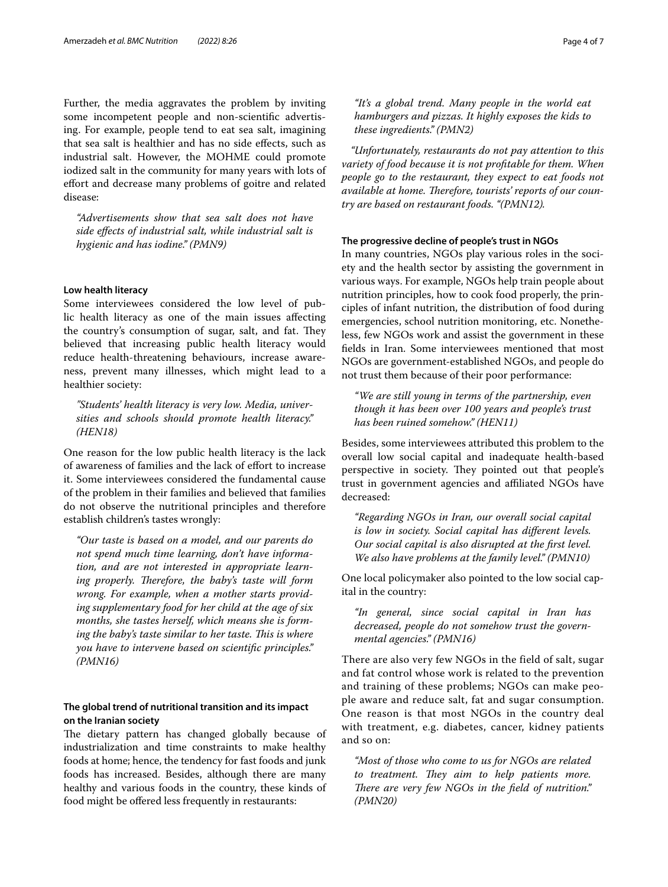Further, the media aggravates the problem by inviting some incompetent people and non-scientifc advertising. For example, people tend to eat sea salt, imagining that sea salt is healthier and has no side efects, such as industrial salt. However, the MOHME could promote iodized salt in the community for many years with lots of efort and decrease many problems of goitre and related disease:

*"Advertisements show that sea salt does not have side efects of industrial salt, while industrial salt is hygienic and has iodine." (PMN9)*

# **Low health literacy**

Some interviewees considered the low level of public health literacy as one of the main issues afecting the country's consumption of sugar, salt, and fat. They believed that increasing public health literacy would reduce health-threatening behaviours, increase awareness, prevent many illnesses, which might lead to a healthier society:

*"Students' health literacy is very low. Media, universities and schools should promote health literacy." (HEN18)*

One reason for the low public health literacy is the lack of awareness of families and the lack of efort to increase it. Some interviewees considered the fundamental cause of the problem in their families and believed that families do not observe the nutritional principles and therefore establish children's tastes wrongly:

*"Our taste is based on a model, and our parents do not spend much time learning, don't have information, and are not interested in appropriate learn*ing properly. Therefore, the baby's taste will form *wrong. For example, when a mother starts providing supplementary food for her child at the age of six months, she tastes herself, which means she is form*ing the baby's taste similar to her taste. This is where *you have to intervene based on scientifc principles." (PMN16)*

# **The global trend of nutritional transition and its impact on the Iranian society**

The dietary pattern has changed globally because of industrialization and time constraints to make healthy foods at home; hence, the tendency for fast foods and junk foods has increased. Besides, although there are many healthy and various foods in the country, these kinds of food might be offered less frequently in restaurants:

*"It's a global trend. Many people in the world eat hamburgers and pizzas. It highly exposes the kids to these ingredients." (PMN2)*

*"Unfortunately, restaurants do not pay attention to this variety of food because it is not proftable for them. When people go to the restaurant, they expect to eat foods not*  available at home. Therefore, tourists' reports of our coun*try are based on restaurant foods. "(PMN12).*

# **The progressive decline of people's trust in NGOs**

In many countries, NGOs play various roles in the society and the health sector by assisting the government in various ways. For example, NGOs help train people about nutrition principles, how to cook food properly, the principles of infant nutrition, the distribution of food during emergencies, school nutrition monitoring, etc. Nonetheless, few NGOs work and assist the government in these felds in Iran. Some interviewees mentioned that most NGOs are government-established NGOs, and people do not trust them because of their poor performance:

*"We are still young in terms of the partnership, even though it has been over 100 years and people's trust has been ruined somehow." (HEN11)*

Besides, some interviewees attributed this problem to the overall low social capital and inadequate health-based perspective in society. They pointed out that people's trust in government agencies and afliated NGOs have decreased:

*"Regarding NGOs in Iran, our overall social capital is low in society. Social capital has diferent levels. Our social capital is also disrupted at the frst level. We also have problems at the family level." (PMN10)*

One local policymaker also pointed to the low social capital in the country:

*"In general, since social capital in Iran has decreased, people do not somehow trust the governmental agencies." (PMN16)*

There are also very few NGOs in the field of salt, sugar and fat control whose work is related to the prevention and training of these problems; NGOs can make people aware and reduce salt, fat and sugar consumption. One reason is that most NGOs in the country deal with treatment, e.g. diabetes, cancer, kidney patients and so on:

*"Most of those who come to us for NGOs are related to treatment. They aim to help patients more.* There are very few NGOs in the field of nutrition." *(PMN20)*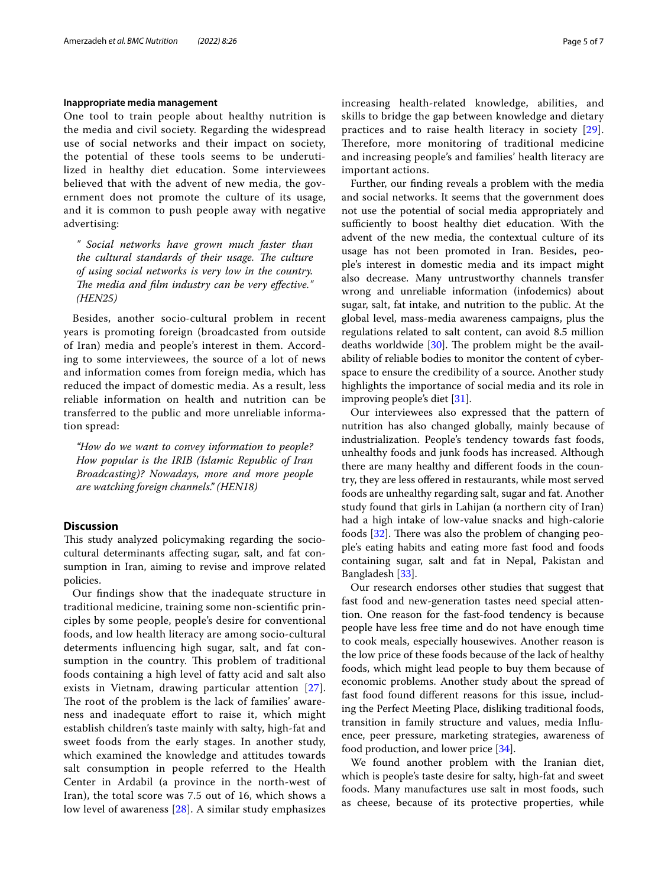# **Inappropriate media management**

One tool to train people about healthy nutrition is the media and civil society. Regarding the widespread use of social networks and their impact on society, the potential of these tools seems to be underutilized in healthy diet education. Some interviewees believed that with the advent of new media, the government does not promote the culture of its usage, and it is common to push people away with negative advertising:

*" Social networks have grown much faster than*  the cultural standards of their usage. The culture *of using social networks is very low in the country. The media and film industry can be very effective." (HEN25)*

Besides, another socio-cultural problem in recent years is promoting foreign (broadcasted from outside of Iran) media and people's interest in them. According to some interviewees, the source of a lot of news and information comes from foreign media, which has reduced the impact of domestic media. As a result, less reliable information on health and nutrition can be transferred to the public and more unreliable information spread:

*"How do we want to convey information to people? How popular is the IRIB (Islamic Republic of Iran Broadcasting)? Nowadays, more and more people are watching foreign channels." (HEN18)*

# **Discussion**

This study analyzed policymaking regarding the sociocultural determinants afecting sugar, salt, and fat consumption in Iran, aiming to revise and improve related policies.

Our fndings show that the inadequate structure in traditional medicine, training some non-scientifc principles by some people, people's desire for conventional foods, and low health literacy are among socio-cultural determents infuencing high sugar, salt, and fat consumption in the country. This problem of traditional foods containing a high level of fatty acid and salt also exists in Vietnam, drawing particular attention [[27\]](#page-6-22). The root of the problem is the lack of families' awareness and inadequate efort to raise it, which might establish children's taste mainly with salty, high-fat and sweet foods from the early stages. In another study, which examined the knowledge and attitudes towards salt consumption in people referred to the Health Center in Ardabil (a province in the north-west of Iran), the total score was 7.5 out of 16, which shows a low level of awareness [[28\]](#page-6-23). A similar study emphasizes increasing health-related knowledge, abilities, and skills to bridge the gap between knowledge and dietary practices and to raise health literacy in society [[29](#page-6-24)]. Therefore, more monitoring of traditional medicine and increasing people's and families' health literacy are important actions.

Further, our fnding reveals a problem with the media and social networks. It seems that the government does not use the potential of social media appropriately and sufficiently to boost healthy diet education. With the advent of the new media, the contextual culture of its usage has not been promoted in Iran. Besides, people's interest in domestic media and its impact might also decrease. Many untrustworthy channels transfer wrong and unreliable information (infodemics) about sugar, salt, fat intake, and nutrition to the public. At the global level, mass-media awareness campaigns, plus the regulations related to salt content, can avoid 8.5 million deaths worldwide  $[30]$  $[30]$ . The problem might be the availability of reliable bodies to monitor the content of cyberspace to ensure the credibility of a source. Another study highlights the importance of social media and its role in improving people's diet [\[31](#page-6-26)].

Our interviewees also expressed that the pattern of nutrition has also changed globally, mainly because of industrialization. People's tendency towards fast foods, unhealthy foods and junk foods has increased. Although there are many healthy and diferent foods in the country, they are less offered in restaurants, while most served foods are unhealthy regarding salt, sugar and fat. Another study found that girls in Lahijan (a northern city of Iran) had a high intake of low-value snacks and high-calorie foods  $[32]$  $[32]$ . There was also the problem of changing people's eating habits and eating more fast food and foods containing sugar, salt and fat in Nepal, Pakistan and Bangladesh [[33\]](#page-6-28).

Our research endorses other studies that suggest that fast food and new-generation tastes need special attention. One reason for the fast-food tendency is because people have less free time and do not have enough time to cook meals, especially housewives. Another reason is the low price of these foods because of the lack of healthy foods, which might lead people to buy them because of economic problems. Another study about the spread of fast food found diferent reasons for this issue, including the Perfect Meeting Place, disliking traditional foods, transition in family structure and values, media Infuence, peer pressure, marketing strategies, awareness of food production, and lower price [[34\]](#page-6-29).

We found another problem with the Iranian diet, which is people's taste desire for salty, high-fat and sweet foods. Many manufactures use salt in most foods, such as cheese, because of its protective properties, while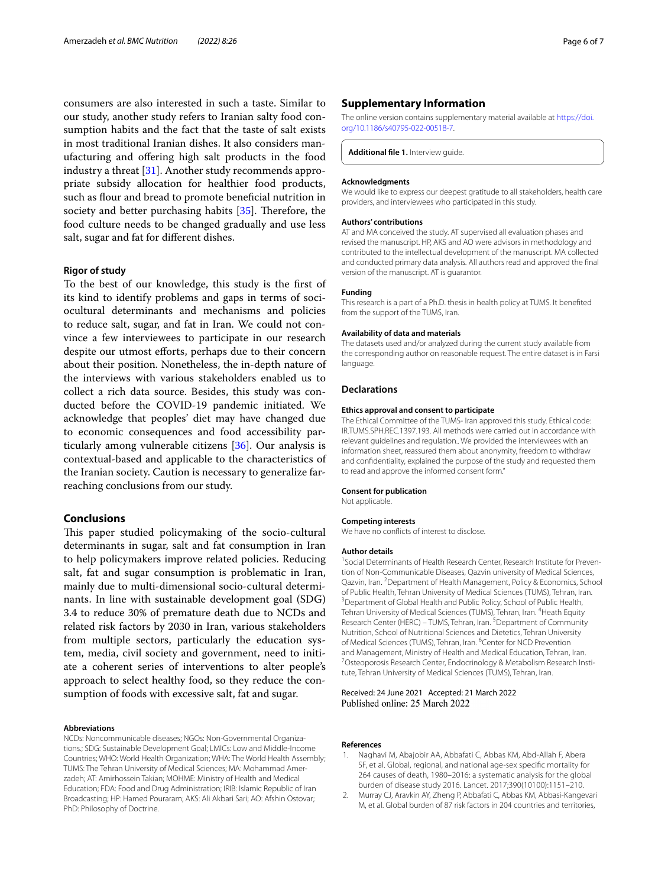consumers are also interested in such a taste. Similar to our study, another study refers to Iranian salty food consumption habits and the fact that the taste of salt exists in most traditional Iranian dishes. It also considers manufacturing and ofering high salt products in the food industry a threat [[31](#page-6-26)]. Another study recommends appropriate subsidy allocation for healthier food products, such as flour and bread to promote beneficial nutrition in society and better purchasing habits  $[35]$  $[35]$ . Therefore, the food culture needs to be changed gradually and use less salt, sugar and fat for diferent dishes.

## **Rigor of study**

To the best of our knowledge, this study is the frst of its kind to identify problems and gaps in terms of sociocultural determinants and mechanisms and policies to reduce salt, sugar, and fat in Iran. We could not convince a few interviewees to participate in our research despite our utmost efforts, perhaps due to their concern about their position. Nonetheless, the in-depth nature of the interviews with various stakeholders enabled us to collect a rich data source. Besides, this study was conducted before the COVID-19 pandemic initiated. We acknowledge that peoples' diet may have changed due to economic consequences and food accessibility particularly among vulnerable citizens [[36](#page-6-31)]. Our analysis is contextual-based and applicable to the characteristics of the Iranian society. Caution is necessary to generalize farreaching conclusions from our study.

# **Conclusions**

This paper studied policymaking of the socio-cultural determinants in sugar, salt and fat consumption in Iran to help policymakers improve related policies. Reducing salt, fat and sugar consumption is problematic in Iran, mainly due to multi-dimensional socio-cultural determinants. In line with sustainable development goal (SDG) 3.4 to reduce 30% of premature death due to NCDs and related risk factors by 2030 in Iran, various stakeholders from multiple sectors, particularly the education system, media, civil society and government, need to initiate a coherent series of interventions to alter people's approach to select healthy food, so they reduce the consumption of foods with excessive salt, fat and sugar.

#### **Abbreviations**

NCDs: Noncommunicable diseases; NGOs: Non-Governmental Organizations.; SDG: Sustainable Development Goal; LMICs: Low and Middle-Income Countries; WHO: World Health Organization; WHA: The World Health Assembly; TUMS: The Tehran University of Medical Sciences; MA: Mohammad Amerzadeh; AT: Amirhossein Takian; MOHME: Ministry of Health and Medical Education; FDA: Food and Drug Administration; IRIB: Islamic Republic of Iran Broadcasting; HP: Hamed Pouraram; AKS: Ali Akbari Sari; AO: Afshin Ostovar; PhD: Philosophy of Doctrine.

## **Supplementary Information**

The online version contains supplementary material available at [https://doi.](https://doi.org/10.1186/s40795-022-00518-7) [org/10.1186/s40795-022-00518-7](https://doi.org/10.1186/s40795-022-00518-7).

**Additional fle 1.** Interview guide.

#### **Acknowledgments**

We would like to express our deepest gratitude to all stakeholders, health care providers, and interviewees who participated in this study.

#### **Authors' contributions**

AT and MA conceived the study. AT supervised all evaluation phases and revised the manuscript. HP, AKS and AO were advisors in methodology and contributed to the intellectual development of the manuscript. MA collected and conducted primary data analysis. All authors read and approved the fnal version of the manuscript. AT is guarantor.

## **Funding**

This research is a part of a Ph.D. thesis in health policy at TUMS. It benefted from the support of the TUMS, Iran.

# **Availability of data and materials**

The datasets used and/or analyzed during the current study available from the corresponding author on reasonable request. The entire dataset is in Farsi language.

# **Declarations**

#### **Ethics approval and consent to participate**

The Ethical Committee of the TUMS- Iran approved this study. Ethical code: IR.TUMS.SPH.REC.1397.193. All methods were carried out in accordance with relevant guidelines and regulation.. We provided the interviewees with an information sheet, reassured them about anonymity, freedom to withdraw and confdentiality, explained the purpose of the study and requested them to read and approve the informed consent form."

#### **Consent for publication**

Not applicable.

#### **Competing interests**

We have no conflicts of interest to disclose.

#### **Author details**

<sup>1</sup> Social Determinants of Health Research Center, Research Institute for Prevention of Non-Communicable Diseases, Qazvin university of Medical Sciences, Qazvin, Iran. <sup>2</sup> Department of Health Management, Policy & Economics, School of Public Health, Tehran University of Medical Sciences (TUMS), Tehran, Iran. 3 <sup>3</sup> Department of Global Health and Public Policy, School of Public Health, Tehran University of Medical Sciences (TUMS), Tehran, Iran. <sup>4</sup> Heath Equity Research Center (HERC) - TUMS, Tehran, Iran.<sup>5</sup> Department of Community Nutrition, School of Nutritional Sciences and Dietetics, Tehran University of Medical Sciences (TUMS), Tehran, Iran. <sup>6</sup>Center for NCD Prevention and Management, Ministry of Health and Medical Education, Tehran, Iran. Osteoporosis Research Center, Endocrinology & Metabolism Research Institute, Tehran University of Medical Sciences (TUMS), Tehran, Iran.

#### Received: 24 June 2021 Accepted: 21 March 2022 Published online: 25 March 2022

#### **References**

- <span id="page-5-0"></span>Naghavi M, Abajobir AA, Abbafati C, Abbas KM, Abd-Allah F, Abera SF, et al. Global, regional, and national age-sex specifc mortality for 264 causes of death, 1980–2016: a systematic analysis for the global burden of disease study 2016. Lancet. 2017;390(10100):1151–210.
- <span id="page-5-1"></span>2. Murray CJ, Aravkin AY, Zheng P, Abbafati C, Abbas KM, Abbasi-Kangevari M, et al. Global burden of 87 risk factors in 204 countries and territories,